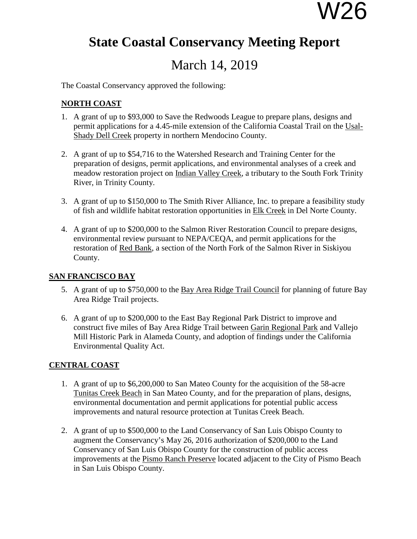# W26

## **State Coastal Conservancy Meeting Report**

### March 14, 2019

The Coastal Conservancy approved the following:

#### **NORTH COAST**

- 1. A grant of up to \$93,000 to Save the Redwoods League to prepare plans, designs and permit applications for a 4.45-mile extension of the California Coastal Trail on the Usal-Shady Dell Creek property in northern Mendocino County.
- 2. A grant of up to \$54,716 to the Watershed Research and Training Center for the preparation of designs, permit applications, and environmental analyses of a creek and meadow restoration project on Indian Valley Creek, a tributary to the South Fork Trinity River, in Trinity County.
- 3. A grant of up to \$150,000 to The Smith River Alliance, Inc. to prepare a feasibility study of fish and wildlife habitat restoration opportunities in Elk Creek in Del Norte County.
- 4. A grant of up to \$200,000 to the Salmon River Restoration Council to prepare designs, environmental review pursuant to NEPA/CEQA, and permit applications for the restoration of Red Bank, a section of the North Fork of the Salmon River in Siskiyou County.

#### **SAN FRANCISCO BAY**

- 5. A grant of up to \$750,000 to the Bay Area Ridge Trail Council for planning of future Bay Area Ridge Trail projects.
- 6. A grant of up to \$200,000 to the East Bay Regional Park District to improve and construct five miles of Bay Area Ridge Trail between Garin Regional Park and Vallejo Mill Historic Park in Alameda County, and adoption of findings under the California Environmental Quality Act.

#### **CENTRAL COAST**

- 1. A grant of up to \$6,200,000 to San Mateo County for the acquisition of the 58-acre Tunitas Creek Beach in San Mateo County, and for the preparation of plans, designs, environmental documentation and permit applications for potential public access improvements and natural resource protection at Tunitas Creek Beach.
- 2. A grant of up to \$500,000 to the Land Conservancy of San Luis Obispo County to augment the Conservancy's May 26, 2016 authorization of \$200,000 to the Land Conservancy of San Luis Obispo County for the construction of public access improvements at the Pismo Ranch Preserve located adjacent to the City of Pismo Beach in San Luis Obispo County.